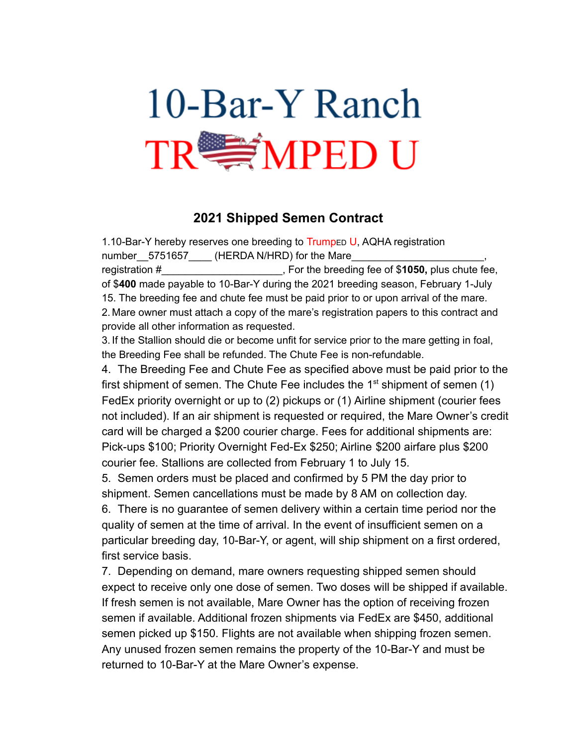

## **2021 Shipped Semen Contract**

1.10-Bar-Y hereby reserves one breeding to Trumped U, AQHA registration number 5751657 (HERDA N/HRD) for the Mare registration #\_\_\_\_\_\_\_\_\_\_\_\_\_\_\_\_\_\_\_\_\_, For the breeding fee of \$**1050,** plus chute fee,

of \$**400** made payable to 10-Bar-Y during the 2021 breeding season, February 1-July 15. The breeding fee and chute fee must be paid prior to or upon arrival of the mare. 2. Mare owner must attach a copy of the mare's registration papers to this contract and provide all other information as requested.

3. If the Stallion should die or become unfit for service prior to the mare getting in foal, the Breeding Fee shall be refunded. The Chute Fee is non-refundable.

4. The Breeding Fee and Chute Fee as specified above must be paid prior to the first shipment of semen. The Chute Fee includes the  $1<sup>st</sup>$  shipment of semen (1) FedEx priority overnight or up to (2) pickups or (1) Airline shipment (courier fees not included). If an air shipment is requested or required, the Mare Owner's credit card will be charged a \$200 courier charge. Fees for additional shipments are: Pick-ups \$100; Priority Overnight Fed-Ex \$250; Airline \$200 airfare plus \$200 courier fee. Stallions are collected from February 1 to July 15.

5. Semen orders must be placed and confirmed by 5 PM the day prior to shipment. Semen cancellations must be made by 8 AM on collection day.

6. There is no guarantee of semen delivery within a certain time period nor the quality of semen at the time of arrival. In the event of insufficient semen on a particular breeding day, 10-Bar-Y, or agent, will ship shipment on a first ordered, first service basis.

7. Depending on demand, mare owners requesting shipped semen should expect to receive only one dose of semen. Two doses will be shipped if available. If fresh semen is not available, Mare Owner has the option of receiving frozen semen if available. Additional frozen shipments via FedEx are \$450, additional semen picked up \$150. Flights are not available when shipping frozen semen. Any unused frozen semen remains the property of the 10-Bar-Y and must be returned to 10-Bar-Y at the Mare Owner's expense.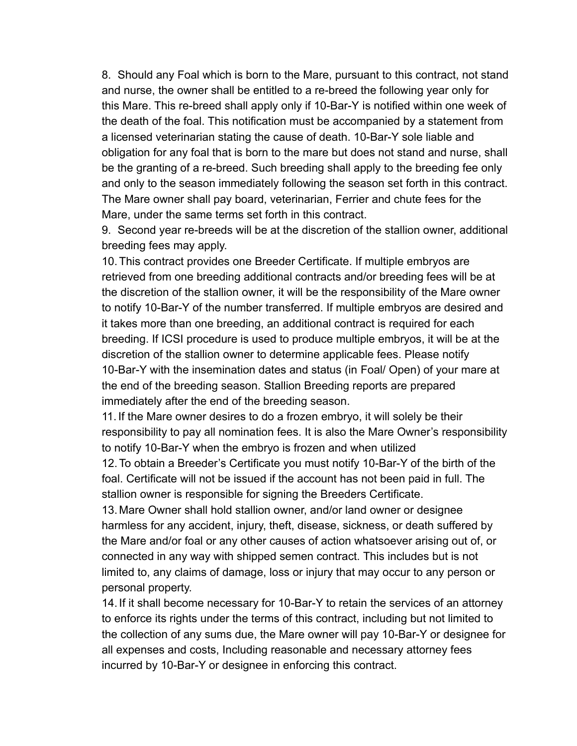8. Should any Foal which is born to the Mare, pursuant to this contract, not stand and nurse, the owner shall be entitled to a re-breed the following year only for this Mare. This re-breed shall apply only if 10-Bar-Y is notified within one week of the death of the foal. This notification must be accompanied by a statement from a licensed veterinarian stating the cause of death. 10-Bar-Y sole liable and obligation for any foal that is born to the mare but does not stand and nurse, shall be the granting of a re-breed. Such breeding shall apply to the breeding fee only and only to the season immediately following the season set forth in this contract. The Mare owner shall pay board, veterinarian, Ferrier and chute fees for the Mare, under the same terms set forth in this contract.

9. Second year re-breeds will be at the discretion of the stallion owner, additional breeding fees may apply.

10.This contract provides one Breeder Certificate. If multiple embryos are retrieved from one breeding additional contracts and/or breeding fees will be at the discretion of the stallion owner, it will be the responsibility of the Mare owner to notify 10-Bar-Y of the number transferred. If multiple embryos are desired and it takes more than one breeding, an additional contract is required for each breeding. If ICSI procedure is used to produce multiple embryos, it will be at the discretion of the stallion owner to determine applicable fees. Please notify 10-Bar-Y with the insemination dates and status (in Foal/ Open) of your mare at the end of the breeding season. Stallion Breeding reports are prepared immediately after the end of the breeding season.

11. If the Mare owner desires to do a frozen embryo, it will solely be their responsibility to pay all nomination fees. It is also the Mare Owner's responsibility to notify 10-Bar-Y when the embryo is frozen and when utilized

12.To obtain a Breeder's Certificate you must notify 10-Bar-Y of the birth of the foal. Certificate will not be issued if the account has not been paid in full. The stallion owner is responsible for signing the Breeders Certificate.

13. Mare Owner shall hold stallion owner, and/or land owner or designee harmless for any accident, injury, theft, disease, sickness, or death suffered by the Mare and/or foal or any other causes of action whatsoever arising out of, or connected in any way with shipped semen contract. This includes but is not limited to, any claims of damage, loss or injury that may occur to any person or personal property.

14. If it shall become necessary for 10-Bar-Y to retain the services of an attorney to enforce its rights under the terms of this contract, including but not limited to the collection of any sums due, the Mare owner will pay 10-Bar-Y or designee for all expenses and costs, Including reasonable and necessary attorney fees incurred by 10-Bar-Y or designee in enforcing this contract.